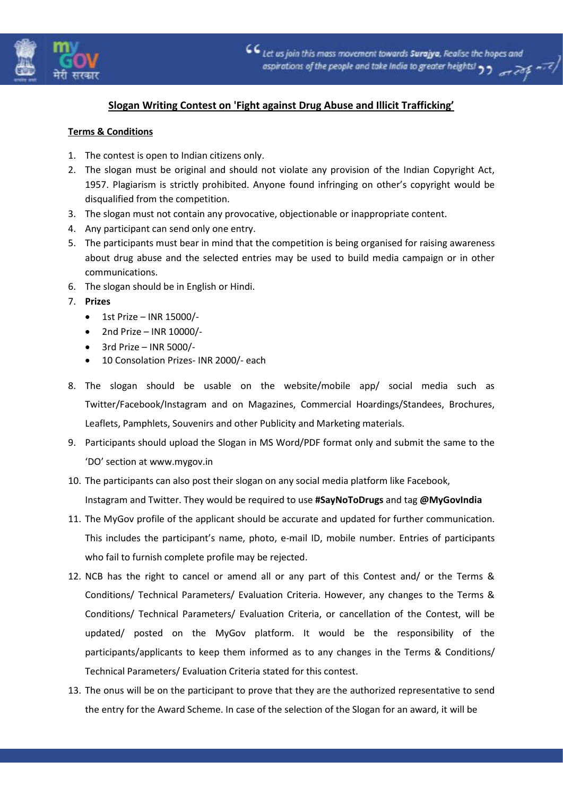

## **Slogan Writing Contest on 'Fight against Drug Abuse and Illicit Trafficking'**

## **Terms & Conditions**

- 1. The contest is open to Indian citizens only.
- 2. The slogan must be original and should not violate any provision of the Indian Copyright Act, 1957. Plagiarism is strictly prohibited. Anyone found infringing on other's copyright would be disqualified from the competition.
- 3. The slogan must not contain any provocative, objectionable or inappropriate content.
- 4. Any participant can send only one entry.
- 5. The participants must bear in mind that the competition is being organised for raising awareness about drug abuse and the selected entries may be used to build media campaign or in other communications.
- 6. The slogan should be in English or Hindi.
- 7. **Prizes**
	- $\bullet$  1st Prize INR 15000/-
	- $\bullet$  2nd Prize INR 10000/-
	- $\bullet$  3rd Prize INR 5000/-
	- 10 Consolation Prizes- INR 2000/- each
- 8. The slogan should be usable on the website/mobile app/ social media such as Twitter/Facebook/Instagram and on Magazines, Commercial Hoardings/Standees, Brochures, Leaflets, Pamphlets, Souvenirs and other Publicity and Marketing materials.
- 9. Participants should upload the Slogan in MS Word/PDF format only and submit the same to the 'DO' section at www.mygov.in
- 10. The participants can also post their slogan on any social media platform like Facebook, Instagram and Twitter. They would be required to use **#SayNoToDrugs** and tag **@MyGovIndia**
- 11. The MyGov profile of the applicant should be accurate and updated for further communication. This includes the participant's name, photo, e-mail ID, mobile number. Entries of participants who fail to furnish complete profile may be rejected.
- 12. NCB has the right to cancel or amend all or any part of this Contest and/ or the Terms & Conditions/ Technical Parameters/ Evaluation Criteria. However, any changes to the Terms & Conditions/ Technical Parameters/ Evaluation Criteria, or cancellation of the Contest, will be updated/ posted on the MyGov platform. It would be the responsibility of the participants/applicants to keep them informed as to any changes in the Terms & Conditions/ Technical Parameters/ Evaluation Criteria stated for this contest.
- 13. The onus will be on the participant to prove that they are the authorized representative to send the entry for the Award Scheme. In case of the selection of the Slogan for an award, it will be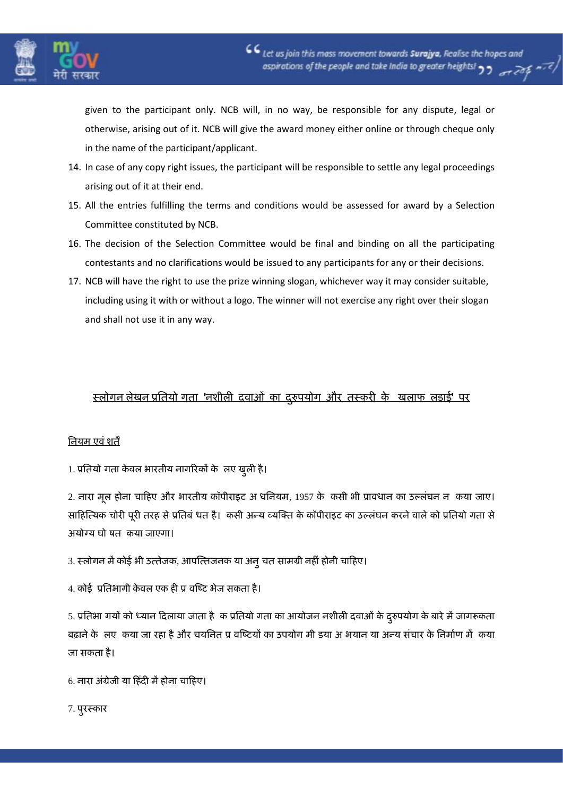

given to the participant only. NCB will, in no way, be responsible for any dispute, legal or otherwise, arising out of it. NCB will give the award money either online or through cheque only in the name of the participant/applicant.

- 14. In case of any copy right issues, the participant will be responsible to settle any legal proceedings arising out of it at their end.
- 15. All the entries fulfilling the terms and conditions would be assessed for award by a Selection Committee constituted by NCB.
- 16. The decision of the Selection Committee would be final and binding on all the participating contestants and no clarifications would be issued to any participants for any or their decisions.
- 17. NCB will have the right to use the prize winning slogan, whichever way it may consider suitable, including using it with or without a logo. The winner will not exercise any right over their slogan and shall not use it in any way.

## **स्रोगन रेखन प्रतिमोगगिा 'नशीरी दवाओॊ का दरुुऩमोग औय िस्कयी के खराप रडाई' ऩय**

## **तनमभ एवॊशिें**

1. **प्रतिमोगगिा के वर बायिीम नागरयकों के लरए खुरी है।**

2. **नाया भूर होना चाहहए औय बायिीम कॉऩीयाइट अगधतनमभ**, 1957 **के ककसी बी प्रावधान का उल्रॊघन न ककमा जाए। साहहत्यमक चोयी ऩूयी ियह सेप्रतिफॊगधि है। ककसी अन्म व्मत्ति के कॉऩीयाइट का उल्रॊघन कयनेवारेको प्रतिमोगगिा से अमोग्म घोषषि ककमा जाएगा।**

- 3. **स्रोगन भेंकोई बी उयिेजक**, **आऩत्यिजनक मा अनुचि साभग्री नहीॊहोनी चाहहए।**
- 4. **कोई प्रतिबागी के वर एक ही प्रषवत्टट बेज सकिा है।**

5. **प्रतिबागगमों को ध्मान हदरामा जािा हैकक प्रतिमोगगिा का आमोजन नशीरी दवाओॊके दरुुऩमोग के फायेभेंजागरूकिा** बढ़ाने के लए कया जा रहा है और चयनित प्र वष्टियों का उपयोग मी डया अ भयान या अन्य संचार के निर्माण में कया **जा सकिा है।**

6. **नाया अॊग्रेजी मा हहॊदी भेंहोना चाहहए।**

7. **ऩुयस्काय**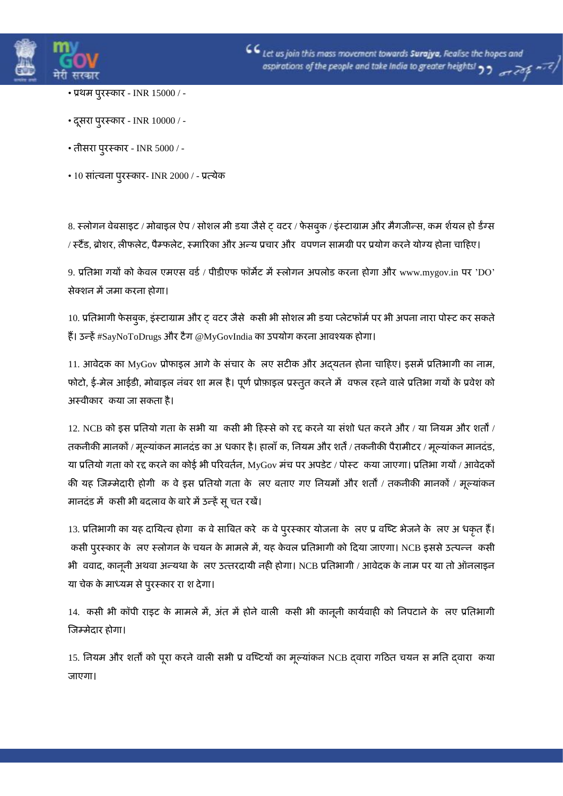

- **प्रथभ ऩुयस्काय** INR 15000 / -
- **दसू या ऩुयस्काय** INR 10000 / -
- **िीसया ऩुयस्काय** INR 5000 / -
- 10 **साॊयवना ऩुयस्काय** INR 2000 / **प्रयमेक**

8. **स्रोगन वेफसाइट** / **भोफाइर ऐऩ** / **सोशर भीडिमा जैसेट्षवटय** / **पेसफुक** / **इॊस्टाग्राभ औय भैगजीन्स**, **कभलशामर होडििंग्स** / **स्टैंि**, **ब्रोशय**, **रीपरेट**, **ऩैम्परेट**, **स्भारयका औय अन्म प्रचाय औय षवऩणन साभग्री ऩय प्रमोग कयनेमोग्म होना चाहहए।**

9. **प्रतिबागगमों को के वर एभएस विा**/ **ऩीिीएप पॉभेट भेंस्रोगन अऩरोि कयना होगा औय** www.mygov.in **ऩय** 'DO' **सेतशन भेंजभा कयना होगा।**

10. **प्रतिबागी पेसफुक**, **इॊस्टाग्राभ औय ट्षवटय जैसेककसी बी सोशर भीडिमा प्रेटपॉभाऩय बी अऩना नाया ऩोस्ट कय सकिे हैं। उन्हें**#SayNoToDrugs **औय टैग** @MyGovIndia **का उऩमोग कयना आवश्मक होगा।**

11. **आवेदक का** MyGov **प्रोपाइर आगेके सॊचाय के लरए सटीक औय अद्मिन होना चाहहए। इसभेंप्रतिबागी का नाभ**, **पोटो**, **ई**-**भेर आईिी**, **भोफाइर नॊफय शालभर है। ऩूणाप्रोफाइर प्रस्िुि कयनेभेंषवपर यहनेवारेप्रतिबागगमों के प्रवेश को अस्वीकाय ककमा जा सकिा है।**

12. NCB **को इस प्रतिमोगगिा के सबी मा ककसी बी हहस्सेको यद्द कयनेमा सॊशोगधि कयनेऔय** / **मा तनमभ औय शिों** / **िकनीकी भानकों** / **भूल्माॊकन भानदॊि का अगधकाय है। हाराॉकक**, **तनमभ औय शिें**/ **िकनीकी ऩैयाभीटय** / **भूल्माॊकन भानदॊि**, **मा प्रतिमोगगिा को यद्द कयनेका कोई बी ऩरयविान**, MyGov **भॊच ऩय अऩिेट** / **ऩोस्ट ककमा जाएगा। प्रतिबागगमों** / **आवेदकों की मह त्जम्भेदायी होगी कक वेइस प्रतिमोगगिा के लरए फिाए गए तनमभों औय शिों** / **िकनीकी भानकों** / **भूल्माॊकन भानदॊि भेंककसी बी फदराव के फायेभेंउन्हेंसूचि यखें।**

13. प्रतिभागी का यह दायित्व होगा क वे साबित करे क वे पुरस्कार योजना के लए प्र वष्टि भेजने के लए अ धकृत हैं। **ककसी ऩुयस्काय के लरए स्रोगन के चमन के भाभरेभें**, **मह के वर प्रतिबागी को हदमा जाएगा।** NCB **इससेउयऩन्न ककसी** भी ववाद, कानूनी अथवा अन्यथा के लए उत्तरदायी नही होगा। NCB प्रतिभागी / आवेदक के नाम पर या तो ऑनलाइन **मा चेक के भाध्मभ सेऩुयस्काय यालश देगा।**

14. **ककसी बी कॉऩी याइट के भाभरेभें**, **अॊि भेंहोनेवारी ककसी बी कानूनी कामावाही को तनऩटानेके लरए प्रतिबागी त्जम्भेदाय होगा।**

15. **तनमभ औय शिों को ऩूया कयनेवारी सबी प्रषवत्टटमों का भूल्माॊकन** NCB **द्वाया गहिि चमन सलभति द्वाया ककमा जाएगा।**